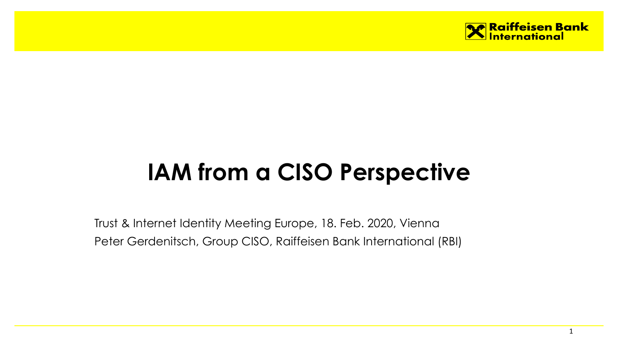

# **IAM from a CISO Perspective**

Trust & Internet Identity Meeting Europe, 18. Feb. 2020, Vienna Peter Gerdenitsch, Group CISO, Raiffeisen Bank International (RBI)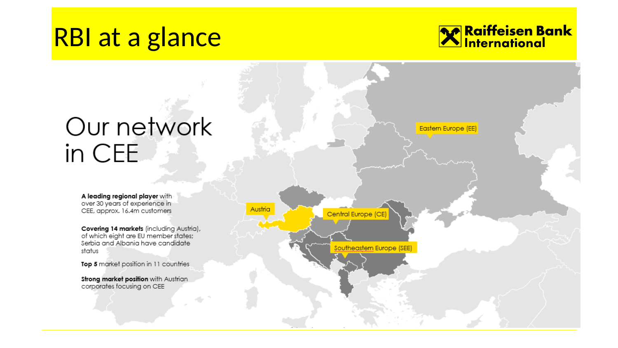## RBI at a glance



# Our network in CEE

A leading regional player with over 30 years of experience in CEE, approx. 16.4m customers

Covering 14 markets (including Austria), of which eight are EU member states; Serbia and Albania have candidate status

Top 5 market position in 11 countries

Strong market position with Austrian corporates focusing on CEE



Eastern Europe (EE)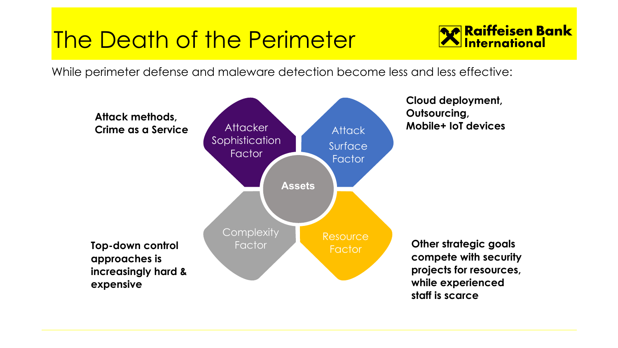## The Death of the Perimeter



While perimeter defense and maleware detection become less and less effective:

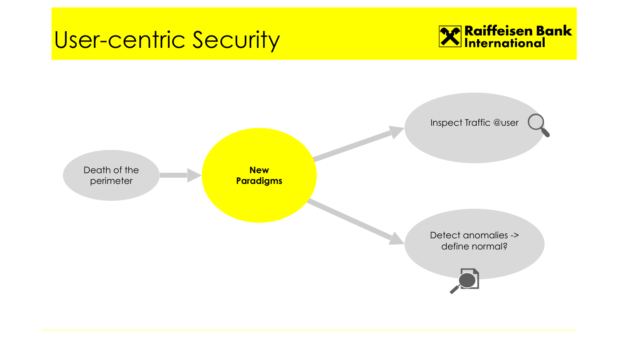#### User-centric Security



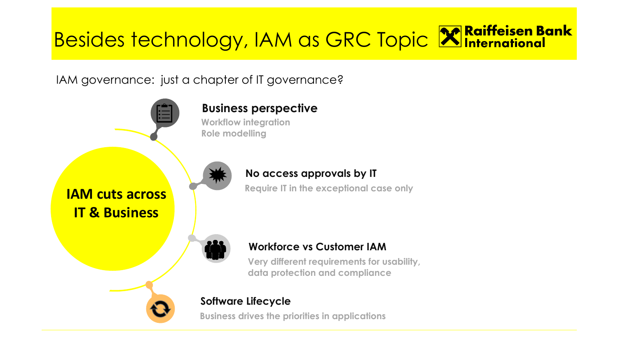# Besides technology, IAM as GRC Topic **X** Raiffeisen Bank

IAM governance: just a chapter of IT governance?

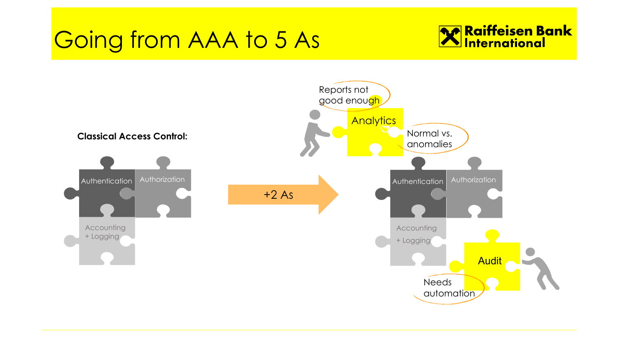## Going from AAA to 5 As